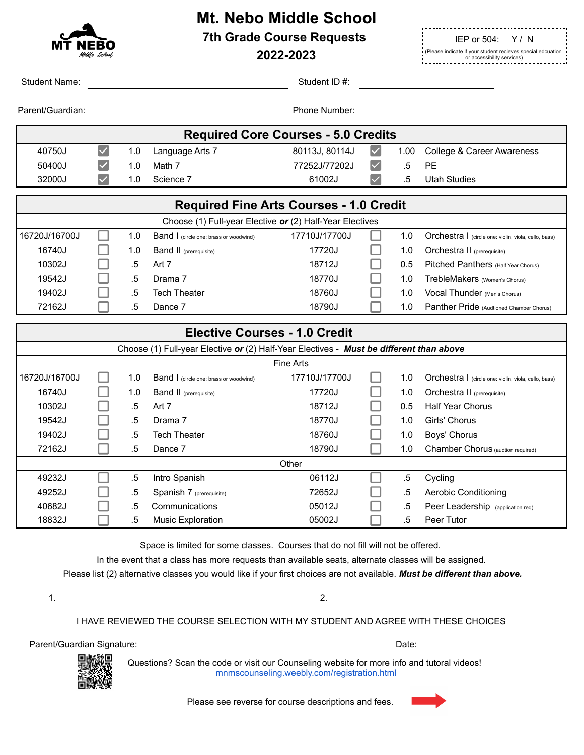

# **Mt. Nebo Middle School 7th Grade Course Requests IEP or 504:** Y/N

| MT NEBO<br>Middle School,                                                               |  |        | 2022-2023                                     |                |                      |        | .דשוט<br>(Please indicate if your student recieves special edcuation<br>or accessibility services) |
|-----------------------------------------------------------------------------------------|--|--------|-----------------------------------------------|----------------|----------------------|--------|----------------------------------------------------------------------------------------------------|
| <b>Student Name:</b>                                                                    |  |        |                                               | Student ID #:  |                      |        |                                                                                                    |
| Parent/Guardian:                                                                        |  |        |                                               | Phone Number:  |                      |        |                                                                                                    |
| <b>Required Core Courses - 5.0 Credits</b>                                              |  |        |                                               |                |                      |        |                                                                                                    |
| 40750J                                                                                  |  | 1.0    | Language Arts 7                               | 80113J, 80114J | $\blacktriangledown$ | 1.00   | College & Career Awareness                                                                         |
| 50400J                                                                                  |  | 1.0    | Math 7                                        | 77252J/77202J  |                      | .5     | PE                                                                                                 |
| 32000J                                                                                  |  | 1.0    | Science 7                                     | 61002J         |                      | .5     | <b>Utah Studies</b>                                                                                |
| <b>Required Fine Arts Courses - 1.0 Credit</b>                                          |  |        |                                               |                |                      |        |                                                                                                    |
| Choose (1) Full-year Elective or (2) Half-Year Electives                                |  |        |                                               |                |                      |        |                                                                                                    |
| 16720J/16700J                                                                           |  | 1.0    | <b>Band I</b> (circle one: brass or woodwind) | 17710J/17700J  |                      | 1.0    | Orchestra   (circle one: violin, viola, cello, bass)                                               |
| 16740J                                                                                  |  | 1.0    | <b>Band II</b> (prerequisite)                 | 17720J         |                      | 1.0    | Orchestra II (prerequisite)                                                                        |
| 10302J                                                                                  |  | .5     | Art 7                                         | 18712J         |                      | 0.5    | Pitched Panthers (Half Year Chorus)                                                                |
| 19542J                                                                                  |  | .5     | Drama 7                                       | 18770J         |                      | 1.0    | TrebleMakers (Women's Chorus)                                                                      |
| 19402J                                                                                  |  | .5     | <b>Tech Theater</b>                           | 18760J         |                      | 1.0    | Vocal Thunder (Men's Chorus)                                                                       |
| 72162J                                                                                  |  | .5     | Dance 7                                       | 18790J         |                      | 1.0    | Panther Pride (Audtioned Chamber Chorus)                                                           |
| <b>Elective Courses - 1.0 Credit</b>                                                    |  |        |                                               |                |                      |        |                                                                                                    |
| Choose (1) Full-year Elective or (2) Half-Year Electives - Must be different than above |  |        |                                               |                |                      |        |                                                                                                    |
| Fine Arts                                                                               |  |        |                                               |                |                      |        |                                                                                                    |
| 16720J/16700J                                                                           |  | 1.0    | Band I (circle one: brass or woodwind)        | 17710J/17700J  |                      | 1.0    | Orchestra   (circle one: violin, viola, cello, bass)                                               |
| 16740J                                                                                  |  | 1.0    | <b>Band II</b> (prerequisite)                 | 17720J         |                      | 1.0    | Orchestra II (prerequisite)                                                                        |
| 10302J                                                                                  |  | .5     | Art 7                                         | 18712J         |                      | 0.5    | <b>Half Year Chorus</b>                                                                            |
| 19542J                                                                                  |  | .5     | Drama 7                                       | 18770J         |                      | 1.0    | Girls' Chorus                                                                                      |
| 19402J                                                                                  |  | .5     | <b>Tech Theater</b>                           | 18760J         |                      | 1.0    | Boys' Chorus                                                                                       |
| 72162J                                                                                  |  | .5     | Dance 7                                       | 18790J         |                      | 1.0    | Chamber Chorus (audtion required)                                                                  |
| Other                                                                                   |  |        |                                               |                |                      |        |                                                                                                    |
| 49232J                                                                                  |  | $.5\,$ | Intro Spanish                                 | 06112J         |                      | $.5\,$ | Cycling                                                                                            |
| 49252J                                                                                  |  | $.5\,$ | Spanish 7 (prerequisite)                      | 72652J         |                      | $.5\,$ | <b>Aerobic Conditioning</b>                                                                        |
| 40682J                                                                                  |  | $.5\,$ | Communications                                | 05012J         |                      | $.5\,$ | Peer Leadership (application req)                                                                  |
| 18832J                                                                                  |  | $.5\,$ | <b>Music Exploration</b>                      | 05002J         |                      | $.5\,$ | Peer Tutor                                                                                         |
| Space is limited for some classes. Courses that do not fill will not be offered.        |  |        |                                               |                |                      |        |                                                                                                    |

In the event that a class has more requests than available seats, alternate classes will be assigned.

Please list (2) alternative classes you would like if your first choices are not available. *Must be different than above.*

1.  $\qquad \qquad \qquad 2.$ 

I HAVE REVIEWED THE COURSE SELECTION WITH MY STUDENT AND AGREE WITH THESE CHOICES

Parent/Guardian Signature: Date:



Questions? Scan the code or visit our Counseling website for more info and tutoral videos! mnmscounseling.weebly.com/registration.html

Please see reverse for course descriptions and fees.